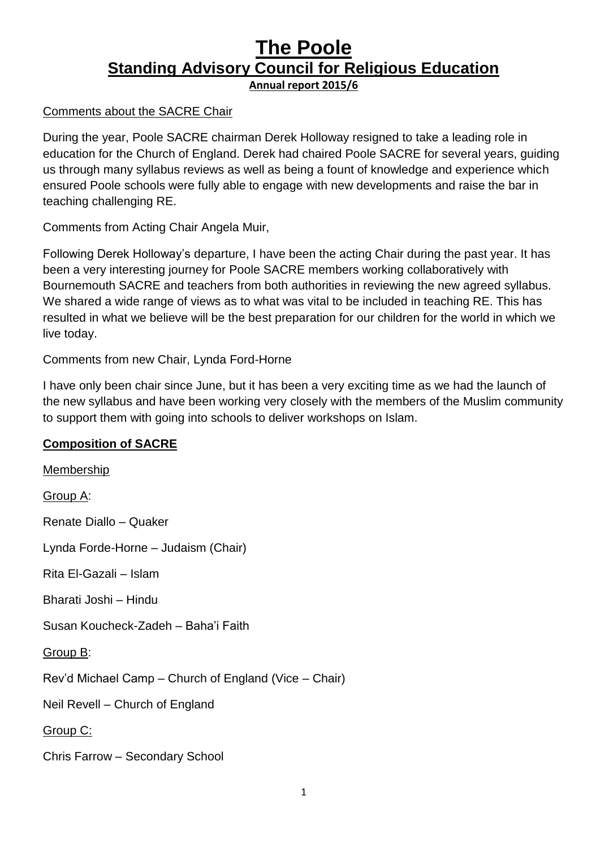# **The Poole Standing Advisory Council for Religious Education Annual report 2015/6**

#### Comments about the SACRE Chair

During the year, Poole SACRE chairman Derek Holloway resigned to take a leading role in education for the Church of England. Derek had chaired Poole SACRE for several years, guiding us through many syllabus reviews as well as being a fount of knowledge and experience which ensured Poole schools were fully able to engage with new developments and raise the bar in teaching challenging RE.

Comments from Acting Chair Angela Muir,

Following Derek Holloway's departure, I have been the acting Chair during the past year. It has been a very interesting journey for Poole SACRE members working collaboratively with Bournemouth SACRE and teachers from both authorities in reviewing the new agreed syllabus. We shared a wide range of views as to what was vital to be included in teaching RE. This has resulted in what we believe will be the best preparation for our children for the world in which we live today.

Comments from new Chair, Lynda Ford-Horne

I have only been chair since June, but it has been a very exciting time as we had the launch of the new syllabus and have been working very closely with the members of the Muslim community to support them with going into schools to deliver workshops on Islam.

### **Composition of SACRE**

Membership Group A: Renate Diallo – Quaker Lynda Forde-Horne – Judaism (Chair) Rita El-Gazali – Islam Bharati Joshi – Hindu Susan Koucheck-Zadeh – Baha'i Faith Group B: Rev'd Michael Camp – Church of England (Vice – Chair) Neil Revell – Church of England Group C: Chris Farrow – Secondary School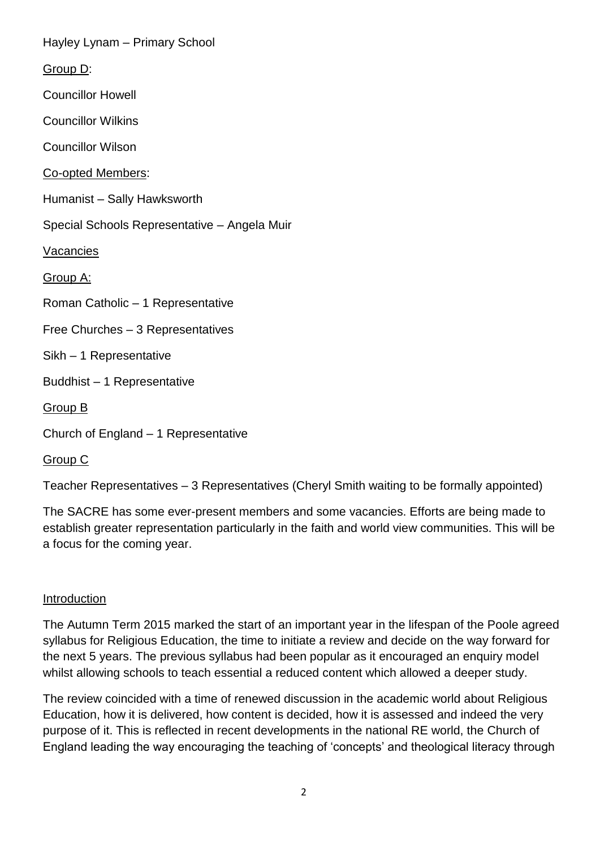Hayley Lynam – Primary School Group D: Councillor Howell Councillor Wilkins Councillor Wilson Co-opted Members: Humanist – Sally Hawksworth Special Schools Representative – Angela Muir Vacancies Group A: Roman Catholic – 1 Representative Free Churches – 3 Representatives Sikh – 1 Representative Buddhist – 1 Representative Group B Church of England – 1 Representative

Group C

Teacher Representatives – 3 Representatives (Cheryl Smith waiting to be formally appointed)

The SACRE has some ever-present members and some vacancies. Efforts are being made to establish greater representation particularly in the faith and world view communities. This will be a focus for the coming year.

### Introduction

The Autumn Term 2015 marked the start of an important year in the lifespan of the Poole agreed syllabus for Religious Education, the time to initiate a review and decide on the way forward for the next 5 years. The previous syllabus had been popular as it encouraged an enquiry model whilst allowing schools to teach essential a reduced content which allowed a deeper study.

The review coincided with a time of renewed discussion in the academic world about Religious Education, how it is delivered, how content is decided, how it is assessed and indeed the very purpose of it. This is reflected in recent developments in the national RE world, the Church of England leading the way encouraging the teaching of 'concepts' and theological literacy through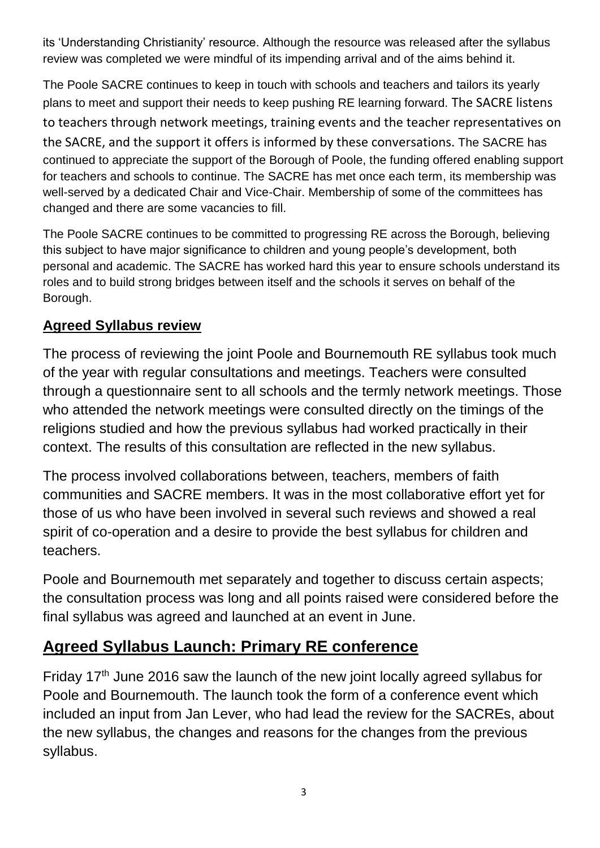its 'Understanding Christianity' resource. Although the resource was released after the syllabus review was completed we were mindful of its impending arrival and of the aims behind it.

The Poole SACRE continues to keep in touch with schools and teachers and tailors its yearly plans to meet and support their needs to keep pushing RE learning forward. The SACRE listens to teachers through network meetings, training events and the teacher representatives on the SACRE, and the support it offers is informed by these conversations. The SACRE has continued to appreciate the support of the Borough of Poole, the funding offered enabling support for teachers and schools to continue. The SACRE has met once each term, its membership was well-served by a dedicated Chair and Vice-Chair. Membership of some of the committees has changed and there are some vacancies to fill.

The Poole SACRE continues to be committed to progressing RE across the Borough, believing this subject to have major significance to children and young people's development, both personal and academic. The SACRE has worked hard this year to ensure schools understand its roles and to build strong bridges between itself and the schools it serves on behalf of the Borough.

# **Agreed Syllabus review**

The process of reviewing the joint Poole and Bournemouth RE syllabus took much of the year with regular consultations and meetings. Teachers were consulted through a questionnaire sent to all schools and the termly network meetings. Those who attended the network meetings were consulted directly on the timings of the religions studied and how the previous syllabus had worked practically in their context. The results of this consultation are reflected in the new syllabus.

The process involved collaborations between, teachers, members of faith communities and SACRE members. It was in the most collaborative effort yet for those of us who have been involved in several such reviews and showed a real spirit of co-operation and a desire to provide the best syllabus for children and teachers.

Poole and Bournemouth met separately and together to discuss certain aspects; the consultation process was long and all points raised were considered before the final syllabus was agreed and launched at an event in June.

# **Agreed Syllabus Launch: Primary RE conference**

Friday 17<sup>th</sup> June 2016 saw the launch of the new joint locally agreed syllabus for Poole and Bournemouth. The launch took the form of a conference event which included an input from Jan Lever, who had lead the review for the SACREs, about the new syllabus, the changes and reasons for the changes from the previous syllabus.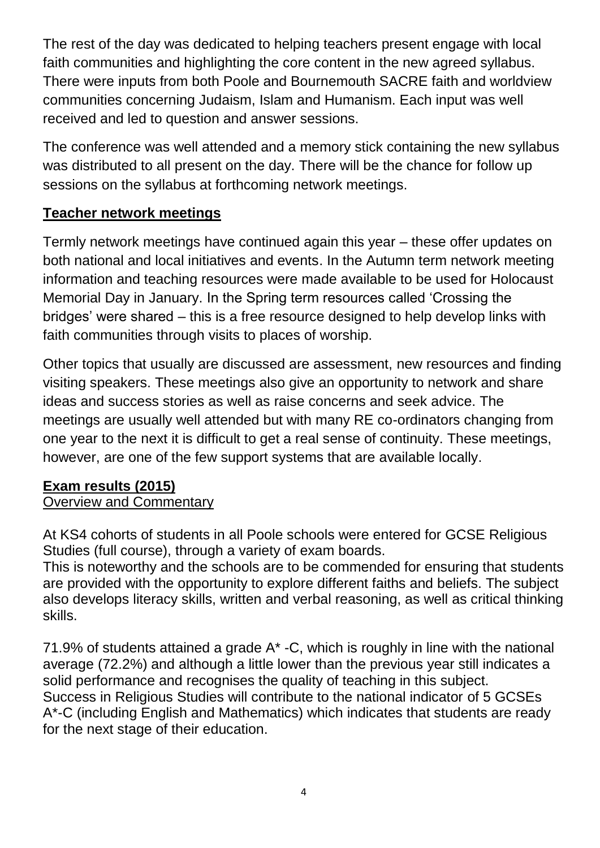The rest of the day was dedicated to helping teachers present engage with local faith communities and highlighting the core content in the new agreed syllabus. There were inputs from both Poole and Bournemouth SACRE faith and worldview communities concerning Judaism, Islam and Humanism. Each input was well received and led to question and answer sessions.

The conference was well attended and a memory stick containing the new syllabus was distributed to all present on the day. There will be the chance for follow up sessions on the syllabus at forthcoming network meetings.

## **Teacher network meetings**

Termly network meetings have continued again this year – these offer updates on both national and local initiatives and events. In the Autumn term network meeting information and teaching resources were made available to be used for Holocaust Memorial Day in January. In the Spring term resources called 'Crossing the bridges' were shared – this is a free resource designed to help develop links with faith communities through visits to places of worship.

Other topics that usually are discussed are assessment, new resources and finding visiting speakers. These meetings also give an opportunity to network and share ideas and success stories as well as raise concerns and seek advice. The meetings are usually well attended but with many RE co-ordinators changing from one year to the next it is difficult to get a real sense of continuity. These meetings, however, are one of the few support systems that are available locally.

### **Exam results (2015)**

### Overview and Commentary

At KS4 cohorts of students in all Poole schools were entered for GCSE Religious Studies (full course), through a variety of exam boards.

This is noteworthy and the schools are to be commended for ensuring that students are provided with the opportunity to explore different faiths and beliefs. The subject also develops literacy skills, written and verbal reasoning, as well as critical thinking skills.

71.9% of students attained a grade A\* -C, which is roughly in line with the national average (72.2%) and although a little lower than the previous year still indicates a solid performance and recognises the quality of teaching in this subject. Success in Religious Studies will contribute to the national indicator of 5 GCSEs A\*-C (including English and Mathematics) which indicates that students are ready for the next stage of their education.